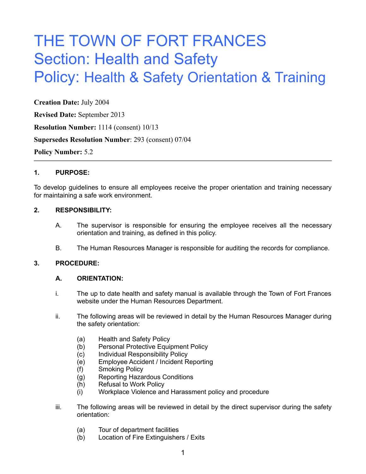# THE TOWN OF FORT FRANCES Section: Health and Safety Policy: Health & Safety Orientation & Training

**Creation Date:** July 2004

**Revised Date:** September 2013

**Resolution Number:** 1114 (consent) 10/13

**Supersedes Resolution Number**: 293 (consent) 07/04

**Policy Number:** 5.2

## **1. PURPOSE:**

To develop guidelines to ensure all employees receive the proper orientation and training necessary for maintaining a safe work environment.

## **2. RESPONSIBILITY:**

- A. The supervisor is responsible for ensuring the employee receives all the necessary orientation and training, as defined in this policy.
- B. The Human Resources Manager is responsible for auditing the records for compliance.

## **3. PROCEDURE:**

## **A. ORIENTATION:**

- i. The up to date health and safety manual is available through the Town of Fort Frances website under the Human Resources Department.
- ii. The following areas will be reviewed in detail by the Human Resources Manager during the safety orientation:
	- (a) Health and Safety Policy
	- (b) Personal Protective Equipment Policy
	- (c) Individual Responsibility Policy
	- (e) Employee Accident / Incident Reporting
	- (f) Smoking Policy
	- (g) Reporting Hazardous Conditions
	- (h) Refusal to Work Policy
	- (i) Workplace Violence and Harassment policy and procedure
- iii. The following areas will be reviewed in detail by the direct supervisor during the safety orientation:
	- (a) Tour of department facilities
	- (b) Location of Fire Extinguishers / Exits